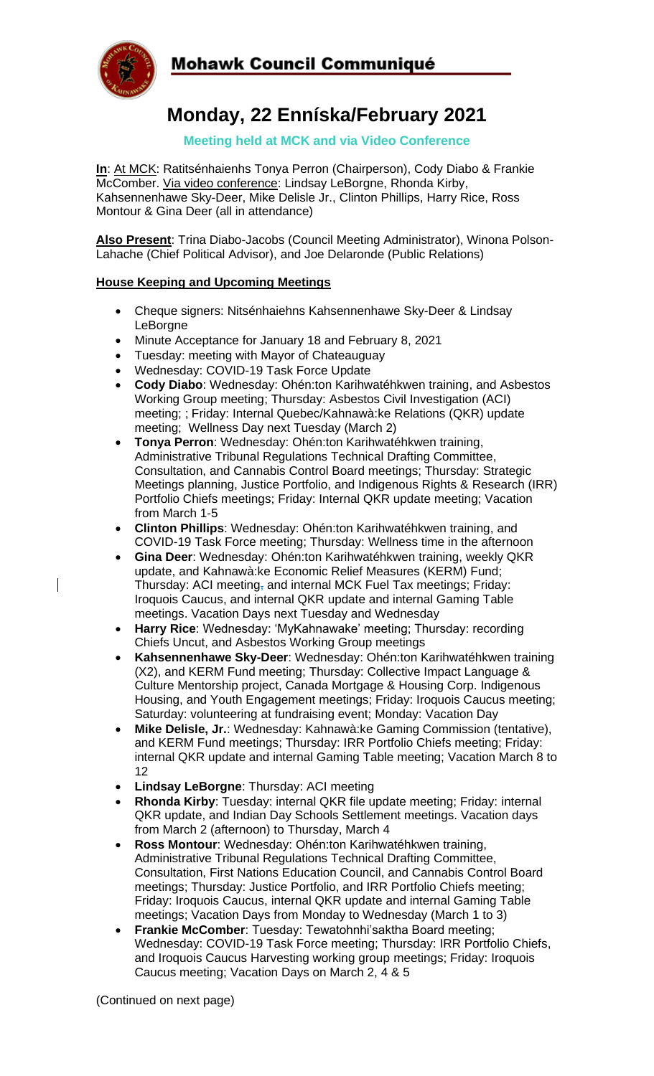

 $\overline{\phantom{a}}$ 

## **Mohawk Council Communiqué**

# **Monday, 22 Enníska/February 2021**

### **Meeting held at MCK and via Video Conference**

**In**: At MCK: Ratitsénhaienhs Tonya Perron (Chairperson), Cody Diabo & Frankie McComber. Via video conference: Lindsay LeBorgne, Rhonda Kirby, Kahsennenhawe Sky-Deer, Mike Delisle Jr., Clinton Phillips, Harry Rice, Ross Montour & Gina Deer (all in attendance)

**Also Present**: Trina Diabo-Jacobs (Council Meeting Administrator), Winona Polson-Lahache (Chief Political Advisor), and Joe Delaronde (Public Relations)

#### **House Keeping and Upcoming Meetings**

- Cheque signers: Nitsénhaiehns Kahsennenhawe Sky-Deer & Lindsay LeBorgne
- Minute Acceptance for January 18 and February 8, 2021
- Tuesday: meeting with Mayor of Chateauguay
- Wednesday: COVID-19 Task Force Update
- **Cody Diabo**: Wednesday: Ohén:ton Karihwatéhkwen training, and Asbestos Working Group meeting; Thursday: Asbestos Civil Investigation (ACI) meeting; ; Friday: Internal Quebec/Kahnawà:ke Relations (QKR) update meeting; Wellness Day next Tuesday (March 2)
- **Tonya Perron**: Wednesday: Ohén:ton Karihwatéhkwen training, Administrative Tribunal Regulations Technical Drafting Committee, Consultation, and Cannabis Control Board meetings; Thursday: Strategic Meetings planning, Justice Portfolio, and Indigenous Rights & Research (IRR) Portfolio Chiefs meetings; Friday: Internal QKR update meeting; Vacation from March 1-5
- **Clinton Phillips**: Wednesday: Ohén:ton Karihwatéhkwen training, and COVID-19 Task Force meeting; Thursday: Wellness time in the afternoon
- **Gina Deer**: Wednesday: Ohén:ton Karihwatéhkwen training, weekly QKR update, and Kahnawà:ke Economic Relief Measures (KERM) Fund; Thursday: ACI meeting, and internal MCK Fuel Tax meetings; Friday: Iroquois Caucus, and internal QKR update and internal Gaming Table meetings. Vacation Days next Tuesday and Wednesday
- **Harry Rice**: Wednesday: 'MyKahnawake' meeting; Thursday: recording Chiefs Uncut, and Asbestos Working Group meetings
- **Kahsennenhawe Sky-Deer**: Wednesday: Ohén:ton Karihwatéhkwen training (X2), and KERM Fund meeting; Thursday: Collective Impact Language & Culture Mentorship project, Canada Mortgage & Housing Corp. Indigenous Housing, and Youth Engagement meetings; Friday: Iroquois Caucus meeting; Saturday: volunteering at fundraising event; Monday: Vacation Day
- **Mike Delisle, Jr.**: Wednesday: Kahnawà:ke Gaming Commission (tentative), and KERM Fund meetings; Thursday: IRR Portfolio Chiefs meeting; Friday: internal QKR update and internal Gaming Table meeting; Vacation March 8 to 12
- **Lindsay LeBorgne**: Thursday: ACI meeting
- **Rhonda Kirby**: Tuesday: internal QKR file update meeting; Friday: internal QKR update, and Indian Day Schools Settlement meetings. Vacation days from March 2 (afternoon) to Thursday, March 4
- **Ross Montour**: Wednesday: Ohén:ton Karihwatéhkwen training, Administrative Tribunal Regulations Technical Drafting Committee, Consultation, First Nations Education Council, and Cannabis Control Board meetings; Thursday: Justice Portfolio, and IRR Portfolio Chiefs meeting; Friday: Iroquois Caucus, internal QKR update and internal Gaming Table meetings; Vacation Days from Monday to Wednesday (March 1 to 3)
- **Frankie McComber**: Tuesday: Tewatohnhi'saktha Board meeting; Wednesday: COVID-19 Task Force meeting; Thursday: IRR Portfolio Chiefs, and Iroquois Caucus Harvesting working group meetings; Friday: Iroquois Caucus meeting; Vacation Days on March 2, 4 & 5

(Continued on next page)